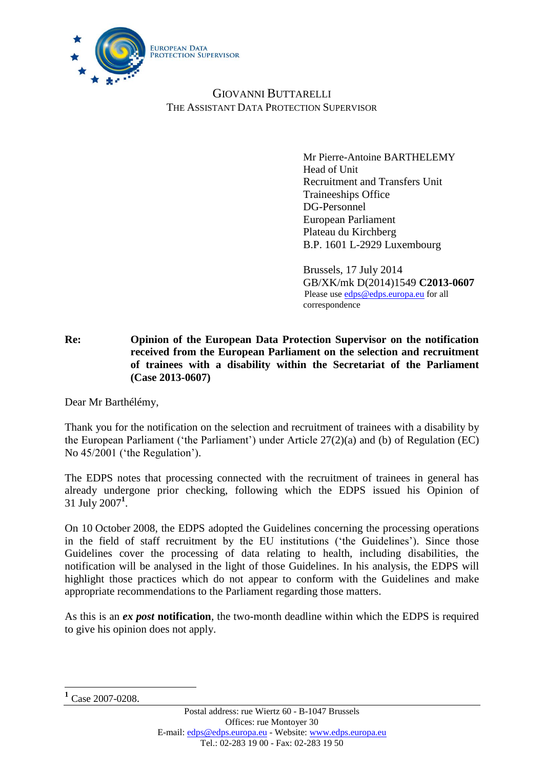

# GIOVANNI BUTTARELLI THE ASSISTANT DATA PROTECTION SUPERVISOR

Mr Pierre-Antoine BARTHELEMY Head of Unit Recruitment and Transfers Unit Traineeships Office DG-Personnel European Parliament Plateau du Kirchberg B.P. 1601 L-2929 Luxembourg

Brussels, 17 July 2014 GB/XK/mk D(2014)1549 **C2013-0607** Please use [edps@edps.europa.eu](mailto:edps@edps.europa.eu) for all correspondence

**Re: Opinion of the European Data Protection Supervisor on the notification received from the European Parliament on the selection and recruitment of trainees with a disability within the Secretariat of the Parliament (Case 2013-0607)**

Dear Mr Barthélémy,

Thank you for the notification on the selection and recruitment of trainees with a disability by the European Parliament ('the Parliament') under Article 27(2)(a) and (b) of Regulation (EC) No 45/2001 ('the Regulation').

The EDPS notes that processing connected with the recruitment of trainees in general has already undergone prior checking, following which the EDPS issued his Opinion of 31 July 2007**<sup>1</sup>** .

On 10 October 2008, the EDPS adopted the Guidelines concerning the processing operations in the field of staff recruitment by the EU institutions ('the Guidelines'). Since those Guidelines cover the processing of data relating to health, including disabilities, the notification will be analysed in the light of those Guidelines. In his analysis, the EDPS will highlight those practices which do not appear to conform with the Guidelines and make appropriate recommendations to the Parliament regarding those matters.

As this is an *ex post* **notification**, the two-month deadline within which the EDPS is required to give his opinion does not apply.

 $\overline{a}$ 

**<sup>1</sup>** Case 2007-0208.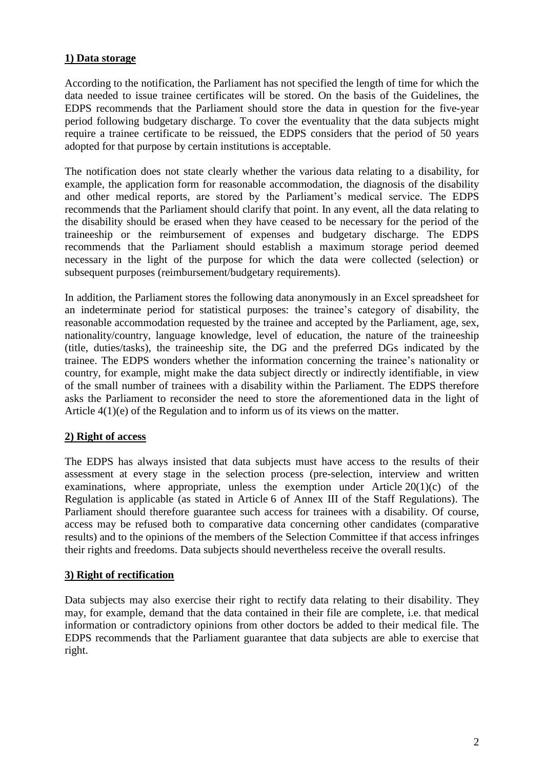## **1) Data storage**

According to the notification, the Parliament has not specified the length of time for which the data needed to issue trainee certificates will be stored. On the basis of the Guidelines, the EDPS recommends that the Parliament should store the data in question for the five-year period following budgetary discharge. To cover the eventuality that the data subjects might require a trainee certificate to be reissued, the EDPS considers that the period of 50 years adopted for that purpose by certain institutions is acceptable.

The notification does not state clearly whether the various data relating to a disability, for example, the application form for reasonable accommodation, the diagnosis of the disability and other medical reports, are stored by the Parliament's medical service. The EDPS recommends that the Parliament should clarify that point. In any event, all the data relating to the disability should be erased when they have ceased to be necessary for the period of the traineeship or the reimbursement of expenses and budgetary discharge. The EDPS recommends that the Parliament should establish a maximum storage period deemed necessary in the light of the purpose for which the data were collected (selection) or subsequent purposes (reimbursement/budgetary requirements).

In addition, the Parliament stores the following data anonymously in an Excel spreadsheet for an indeterminate period for statistical purposes: the trainee's category of disability, the reasonable accommodation requested by the trainee and accepted by the Parliament, age, sex, nationality/country, language knowledge, level of education, the nature of the traineeship (title, duties/tasks), the traineeship site, the DG and the preferred DGs indicated by the trainee. The EDPS wonders whether the information concerning the trainee's nationality or country, for example, might make the data subject directly or indirectly identifiable, in view of the small number of trainees with a disability within the Parliament. The EDPS therefore asks the Parliament to reconsider the need to store the aforementioned data in the light of Article 4(1)(e) of the Regulation and to inform us of its views on the matter.

## **2) Right of access**

The EDPS has always insisted that data subjects must have access to the results of their assessment at every stage in the selection process (pre-selection, interview and written examinations, where appropriate, unless the exemption under Article  $20(1)(c)$  of the Regulation is applicable (as stated in Article 6 of Annex III of the Staff Regulations). The Parliament should therefore guarantee such access for trainees with a disability. Of course, access may be refused both to comparative data concerning other candidates (comparative results) and to the opinions of the members of the Selection Committee if that access infringes their rights and freedoms. Data subjects should nevertheless receive the overall results.

## **3) Right of rectification**

Data subjects may also exercise their right to rectify data relating to their disability. They may, for example, demand that the data contained in their file are complete, i.e. that medical information or contradictory opinions from other doctors be added to their medical file. The EDPS recommends that the Parliament guarantee that data subjects are able to exercise that right.